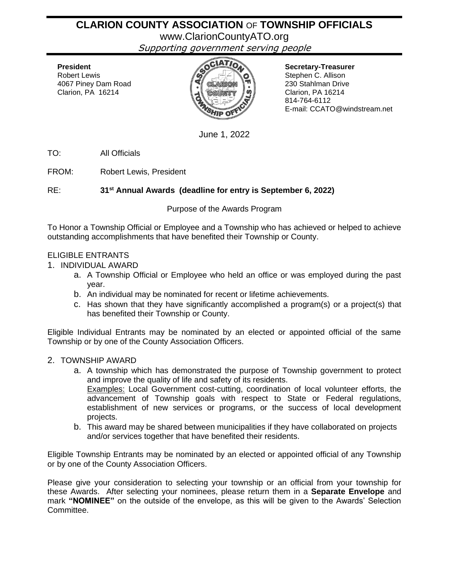# **CLARION COUNTY ASSOCIATION** OF **TOWNSHIP OFFICIALS**

www.ClarionCountyATO.org

Supporting government serving people



Stephen C. Allison 814-764-6112 E-mail: CCATO@windstream.net

June 1, 2022

TO: All Officials

FROM: Robert Lewis, President

RE: **31 st Annual Awards (deadline for entry is September 6, 2022)**

Purpose of the Awards Program

To Honor a Township Official or Employee and a Township who has achieved or helped to achieve outstanding accomplishments that have benefited their Township or County.

## ELIGIBLE ENTRANTS

1. INDIVIDUAL AWARD

- a. A Township Official or Employee who held an office or was employed during the past year.
- b. An individual may be nominated for recent or lifetime achievements.
- c. Has shown that they have significantly accomplished a program(s) or a project(s) that has benefited their Township or County.

Eligible Individual Entrants may be nominated by an elected or appointed official of the same Township or by one of the County Association Officers.

#### 2. TOWNSHIP AWARD

- a. A township which has demonstrated the purpose of Township government to protect and improve the quality of life and safety of its residents. Examples: Local Government cost-cutting, coordination of local volunteer efforts, the advancement of Township goals with respect to State or Federal regulations, establishment of new services or programs, or the success of local development projects.
- b. This award may be shared between municipalities if they have collaborated on projects and/or services together that have benefited their residents.

Eligible Township Entrants may be nominated by an elected or appointed official of any Township or by one of the County Association Officers.

Please give your consideration to selecting your township or an official from your township for these Awards. After selecting your nominees, please return them in a **Separate Envelope** and mark **"NOMINEE"** on the outside of the envelope, as this will be given to the Awards' Selection Committee.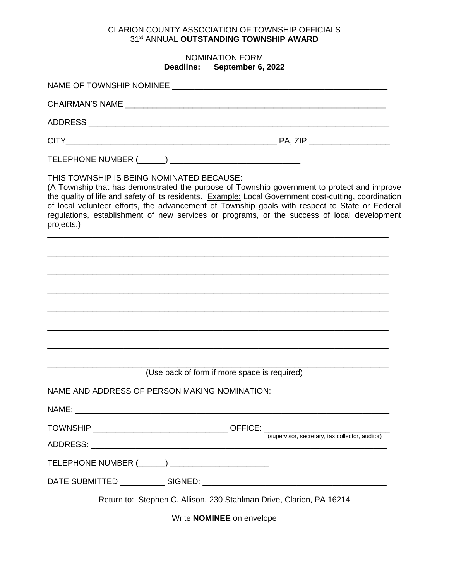## CLARION COUNTY ASSOCIATION OF TOWNSHIP OFFICIALS 31 st ANNUAL **OUTSTANDING TOWNSHIP AWARD**

#### NOMINATION FORM **Deadline: September 6, 2022**

| THIS TOWNSHIP IS BEING NOMINATED BECAUSE:<br>projects.) | (A Township that has demonstrated the purpose of Township government to protect and improve<br>the quality of life and safety of its residents. Example: Local Government cost-cutting, coordination<br>of local volunteer efforts, the advancement of Township goals with respect to State or Federal<br>regulations, establishment of new services or programs, or the success of local development |
|---------------------------------------------------------|-------------------------------------------------------------------------------------------------------------------------------------------------------------------------------------------------------------------------------------------------------------------------------------------------------------------------------------------------------------------------------------------------------|
|                                                         |                                                                                                                                                                                                                                                                                                                                                                                                       |
|                                                         |                                                                                                                                                                                                                                                                                                                                                                                                       |
|                                                         |                                                                                                                                                                                                                                                                                                                                                                                                       |
|                                                         |                                                                                                                                                                                                                                                                                                                                                                                                       |
|                                                         |                                                                                                                                                                                                                                                                                                                                                                                                       |
|                                                         |                                                                                                                                                                                                                                                                                                                                                                                                       |
|                                                         | (Use back of form if more space is required)                                                                                                                                                                                                                                                                                                                                                          |
|                                                         | NAME AND ADDRESS OF PERSON MAKING NOMINATION:                                                                                                                                                                                                                                                                                                                                                         |
| NAME:                                                   | <u> 1989 - Johann Stoff, deutscher Stoff, der Stoff, der Stoff, der Stoff, der Stoff, der Stoff, der Stoff, der S</u>                                                                                                                                                                                                                                                                                 |
|                                                         |                                                                                                                                                                                                                                                                                                                                                                                                       |
|                                                         |                                                                                                                                                                                                                                                                                                                                                                                                       |
|                                                         |                                                                                                                                                                                                                                                                                                                                                                                                       |
|                                                         | Return to: Stephen C. Allison, 230 Stahlman Drive, Clarion, PA 16214                                                                                                                                                                                                                                                                                                                                  |
|                                                         | Write <b>NOMINEE</b> on envelope                                                                                                                                                                                                                                                                                                                                                                      |